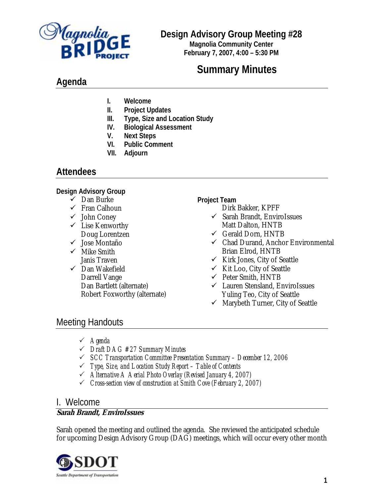

# **Design Advisory Group Meeting #28**

**Magnolia Community Center February 7, 2007, 4:00 – 5:30 PM**

# **Summary Minutes**

# **Agenda**

- **I. Welcome**
- **II. Project Updates**
- **III. Type, Size and Location Study**
- **IV. Biological Assessment**
- **V. Next Steps**
- **VI. Public Comment**
- **VII. Adjourn**

# **Attendees**

### **Design Advisory Group**

- $\checkmark$  Dan Burke
- $\checkmark$  Fran Calhoun
- $\checkmark$  John Coney
- $\checkmark$  Lise Kenworthy Doug Lorentzen
- $\checkmark$  Jose Montaño
- $\checkmark$  Mike Smith Janis Traven
- $\checkmark$  Dan Wakefield Darrell Vange Dan Bartlett (alternate) Robert Foxworthy (alternate)

**Project Team** 

- Dirk Bakker, KPFF
- $\checkmark$  Sarah Brandt, EnviroIssues Matt Dalton, HNTB
- $\checkmark$  Gerald Dorn, HNTB
- $\checkmark$  Chad Durand, Anchor Environmental Brian Elrod, HNTB
- $\checkmark$  Kirk Jones, City of Seattle
- $\checkmark$  Kit Loo, City of Seattle
- $\checkmark$  Peter Smith, HNTB
- 9 Lauren Stensland, EnviroIssues Yuling Teo, City of Seattle
- $\checkmark$  Marybeth Turner, City of Seattle

# Meeting Handouts

- 3 *Agenda*
- 3 *Draft DAG #27 Summary Minutes*
- 3 *SCC Transportation Committee Presentation Summary December 12, 2006*
- 3 *Type, Size, and Location Study Report Table of Contents*
- 3 *Alternative A Aerial Photo Overlay (Revised January 4, 2007)*
- 3 *Cross-section view of construction at Smith Cove (February 2, 2007)*

# I. Welcome

### **Sarah Brandt, EnviroIssues**

Sarah opened the meeting and outlined the agenda. She reviewed the anticipated schedule for upcoming Design Advisory Group (DAG) meetings, which will occur every other month

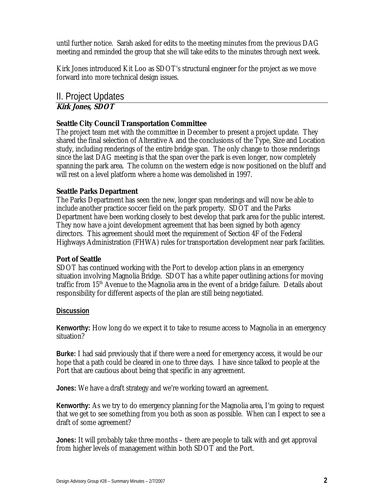until further notice. Sarah asked for edits to the meeting minutes from the previous DAG meeting and reminded the group that she will take edits to the minutes through next week.

Kirk Jones introduced Kit Loo as SDOT's structural engineer for the project as we move forward into more technical design issues.

# II. Project Updates **Kirk Jones, SDOT**

### **Seattle City Council Transportation Committee**

The project team met with the committee in December to present a project update. They shared the final selection of Alterative A and the conclusions of the Type, Size and Location study, including renderings of the entire bridge span. The only change to those renderings since the last DAG meeting is that the span over the park is even longer, now completely spanning the park area. The column on the western edge is now positioned on the bluff and will rest on a level platform where a home was demolished in 1997.

### **Seattle Parks Department**

The Parks Department has seen the new, longer span renderings and will now be able to include another practice soccer field on the park property. SDOT and the Parks Department have been working closely to best develop that park area for the public interest. They now have a joint development agreement that has been signed by both agency directors. This agreement should meet the requirement of Section 4F of the Federal Highways Administration (FHWA) rules for transportation development near park facilities.

#### **Port of Seattle**

SDOT has continued working with the Port to develop action plans in an emergency situation involving Magnolia Bridge. SDOT has a white paper outlining actions for moving traffic from 15<sup>th</sup> Avenue to the Magnolia area in the event of a bridge failure. Details about responsibility for different aspects of the plan are still being negotiated.

#### **Discussion**

**Kenworthy:** How long do we expect it to take to resume access to Magnolia in an emergency situation?

**Burke:** I had said previously that if there were a need for emergency access, it would be our hope that a path could be cleared in one to three days. I have since talked to people at the Port that are cautious about being that specific in any agreement.

**Jones:** We have a draft strategy and we're working toward an agreement.

**Kenworthy:** As we try to do emergency planning for the Magnolia area, I'm going to request that we get to see something from you both as soon as possible. When can I expect to see a draft of some agreement?

**Jones:** It will probably take three months – there are people to talk with and get approval from higher levels of management within both SDOT and the Port.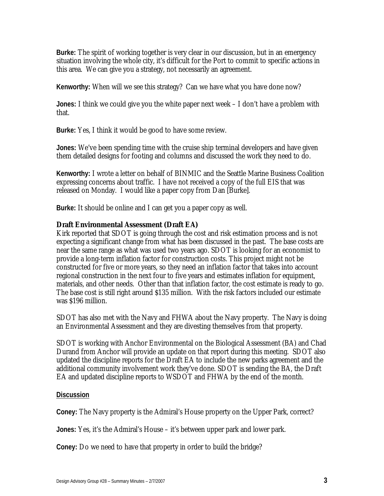**Burke:** The spirit of working together is very clear in our discussion, but in an emergency situation involving the whole city, it's difficult for the Port to commit to specific actions in this area. We can give you a strategy, not necessarily an agreement.

**Kenworthy:** When will we see this strategy? Can we have what you have done now?

**Jones:** I think we could give you the white paper next week – I don't have a problem with that.

**Burke:** Yes, I think it would be good to have some review.

**Jones:** We've been spending time with the cruise ship terminal developers and have given them detailed designs for footing and columns and discussed the work they need to do.

**Kenworthy:** I wrote a letter on behalf of BINMIC and the Seattle Marine Business Coalition expressing concerns about traffic. I have not received a copy of the full EIS that was released on Monday. I would like a paper copy from Dan [Burke].

**Burke:** It should be online and I can get you a paper copy as well.

#### **Draft Environmental Assessment (Draft EA)**

Kirk reported that SDOT is going through the cost and risk estimation process and is not expecting a significant change from what has been discussed in the past. The base costs are near the same range as what was used two years ago. SDOT is looking for an economist to provide a long-term inflation factor for construction costs. This project might not be constructed for five or more years, so they need an inflation factor that takes into account regional construction in the next four to five years and estimates inflation for equipment, materials, and other needs. Other than that inflation factor, the cost estimate is ready to go. The base cost is still right around \$135 million. With the risk factors included our estimate was \$196 million.

SDOT has also met with the Navy and FHWA about the Navy property. The Navy is doing an Environmental Assessment and they are divesting themselves from that property.

SDOT is working with Anchor Environmental on the Biological Assessment (BA) and Chad Durand from Anchor will provide an update on that report during this meeting. SDOT also updated the discipline reports for the Draft EA to include the new parks agreement and the additional community involvement work they've done. SDOT is sending the BA, the Draft EA and updated discipline reports to WSDOT and FHWA by the end of the month.

#### **Discussion**

**Coney:** The Navy property is the Admiral's House property on the Upper Park, correct?

**Jones:** Yes, it's the Admiral's House – it's between upper park and lower park.

**Coney:** Do we need to have that property in order to build the bridge?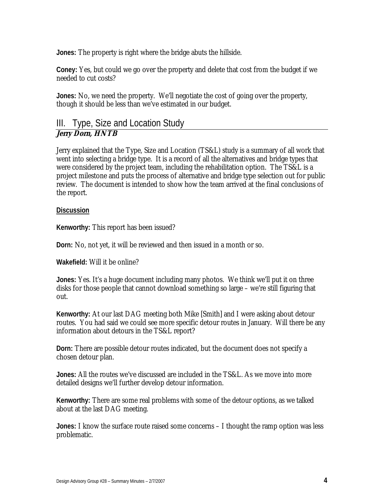**Jones:** The property is right where the bridge abuts the hillside.

**Coney:** Yes, but could we go over the property and delete that cost from the budget if we needed to cut costs?

**Jones:** No, we need the property. We'll negotiate the cost of going over the property, though it should be less than we've estimated in our budget.

# III. Type, Size and Location Study **Jerry Dorn, HNTB**

Jerry explained that the Type, Size and Location (TS&L) study is a summary of all work that went into selecting a bridge type. It is a record of all the alternatives and bridge types that were considered by the project team, including the rehabilitation option. The TS&L is a project milestone and puts the process of alternative and bridge type selection out for public review. The document is intended to show how the team arrived at the final conclusions of the report.

### **Discussion**

**Kenworthy:** This report has been issued?

**Dorn:** No, not yet, it will be reviewed and then issued in a month or so.

**Wakefield:** Will it be online?

**Jones:** Yes. It's a huge document including many photos. We think we'll put it on three disks for those people that cannot download something so large – we're still figuring that out.

**Kenworthy:** At our last DAG meeting both Mike [Smith] and I were asking about detour routes. You had said we could see more specific detour routes in January. Will there be any information about detours in the TS&L report?

**Dorn:** There are possible detour routes indicated, but the document does not specify a chosen detour plan.

**Jones:** All the routes we've discussed are included in the TS&L. As we move into more detailed designs we'll further develop detour information.

**Kenworthy:** There are some real problems with some of the detour options, as we talked about at the last DAG meeting.

**Jones:** I know the surface route raised some concerns – I thought the ramp option was less problematic.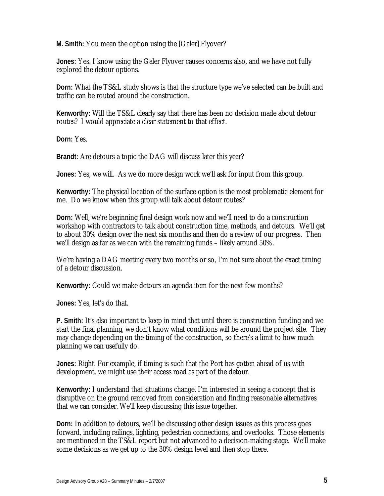**M. Smith:** You mean the option using the [Galer] Flyover?

**Jones:** Yes. I know using the Galer Flyover causes concerns also, and we have not fully explored the detour options.

**Dorn:** What the TS&L study shows is that the structure type we've selected can be built and traffic can be routed around the construction.

**Kenworthy:** Will the TS&L clearly say that there has been no decision made about detour routes? I would appreciate a clear statement to that effect.

**Dorn:** Yes.

**Brandt:** Are detours a topic the DAG will discuss later this year?

**Jones:** Yes, we will. As we do more design work we'll ask for input from this group.

**Kenworthy:** The physical location of the surface option is the most problematic element for me. Do we know when this group will talk about detour routes?

**Dorn:** Well, we're beginning final design work now and we'll need to do a construction workshop with contractors to talk about construction time, methods, and detours. We'll get to about 30% design over the next six months and then do a review of our progress. Then we'll design as far as we can with the remaining funds – likely around 50%.

We're having a DAG meeting every two months or so, I'm not sure about the exact timing of a detour discussion.

**Kenworthy:** Could we make detours an agenda item for the next few months?

**Jones:** Yes, let's do that.

**P. Smith:** It's also important to keep in mind that until there is construction funding and we start the final planning, we don't know what conditions will be around the project site. They may change depending on the timing of the construction, so there's a limit to how much planning we can usefully do.

**Jones:** Right. For example, if timing is such that the Port has gotten ahead of us with development, we might use their access road as part of the detour.

**Kenworthy:** I understand that situations change. I'm interested in seeing a concept that is disruptive on the ground removed from consideration and finding reasonable alternatives that we can consider. We'll keep discussing this issue together.

**Dorn:** In addition to detours, we'll be discussing other design issues as this process goes forward, including railings, lighting, pedestrian connections, and overlooks. Those elements are mentioned in the TS&L report but not advanced to a decision-making stage. We'll make some decisions as we get up to the 30% design level and then stop there.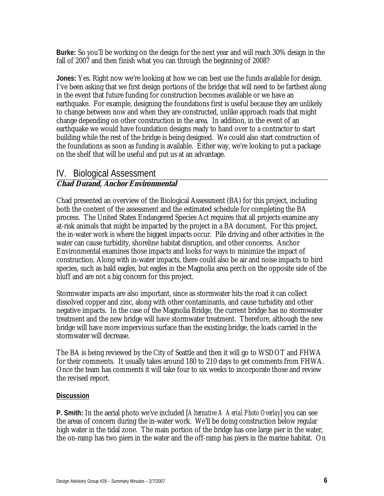**Burke:** So you'll be working on the design for the next year and will reach 30% design in the fall of 2007 and then finish what you can through the beginning of 2008?

**Jones:** Yes. Right now we're looking at how we can best use the funds available for design. I've been asking that we first design portions of the bridge that will need to be farthest along in the event that future funding for construction becomes available or we have an earthquake. For example, designing the foundations first is useful because they are unlikely to change between now and when they are constructed, unlike approach roads that might change depending on other construction in the area. In addition, in the event of an earthquake we would have foundation designs ready to hand over to a contractor to start building while the rest of the bridge is being designed. We could also start construction of the foundations as soon as funding is available. Either way, we're looking to put a package on the shelf that will be useful and put us at an advantage.

# IV. Biological Assessment

### **Chad Durand, Anchor Environmental**

Chad presented an overview of the Biological Assessment (BA) for this project, including both the content of the assessment and the estimated schedule for completing the BA process. The United States Endangered Species Act requires that all projects examine any at-risk animals that might be impacted by the project in a BA document. For this project, the in-water work is where the biggest impacts occur. Pile driving and other activities in the water can cause turbidity, shoreline habitat disruption, and other concerns. Anchor Environmental examines those impacts and looks for ways to minimize the impact of construction. Along with in-water impacts, there could also be air and noise impacts to bird species, such as bald eagles, but eagles in the Magnolia area perch on the opposite side of the bluff and are not a big concern for this project.

Stormwater impacts are also important, since as stormwater hits the road it can collect dissolved copper and zinc, along with other contaminants, and cause turbidity and other negative impacts. In the case of the Magnolia Bridge, the current bridge has no stormwater treatment and the new bridge will have stormwater treatment. Therefore, although the new bridge will have more impervious surface than the existing bridge, the loads carried in the stormwater will decrease.

The BA is being reviewed by the City of Seattle and then it will go to WSDOT and FHWA for their comments. It usually takes around 180 to 210 days to get comments from FHWA. Once the team has comments it will take four to six weeks to incorporate those and review the revised report.

#### **Discussion**

**P. Smith:** In the aerial photo we've included [*Alternative A Aerial Photo Overlay*] you can see the areas of concern during the in-water work. We'll be doing construction below regular high water in the tidal zone. The main portion of the bridge has one large pier in the water, the on-ramp has two piers in the water and the off-ramp has piers in the marine habitat. On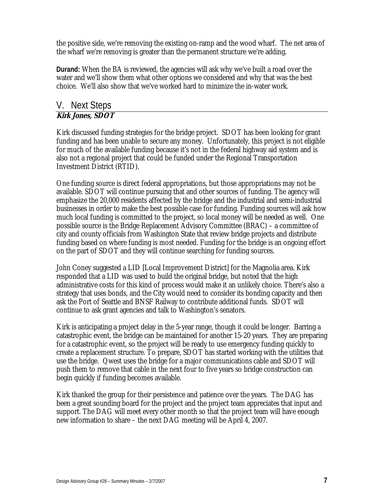the positive side, we're removing the existing on-ramp and the wood wharf. The net area of the wharf we're removing is greater than the permanent structure we're adding.

**Durand:** When the BA is reviewed, the agencies will ask why we've built a road over the water and we'll show them what other options we considered and why that was the best choice. We'll also show that we've worked hard to minimize the in-water work.

# V. Next Steps **Kirk Jones, SDOT**

Kirk discussed funding strategies for the bridge project. SDOT has been looking for grant funding and has been unable to secure any money. Unfortunately, this project is not eligible for much of the available funding because it's not in the federal highway aid system and is also not a regional project that could be funded under the Regional Transportation Investment District (RTID).

One funding source is direct federal appropriations, but those appropriations may not be available. SDOT will continue pursuing that and other sources of funding. The agency will emphasize the 20,000 residents affected by the bridge and the industrial and semi-industrial businesses in order to make the best possible case for funding. Funding sources will ask how much local funding is committed to the project, so local money will be needed as well. One possible source is the Bridge Replacement Advisory Committee (BRAC) – a committee of city and county officials from Washington State that review bridge projects and distribute funding based on where funding is most needed. Funding for the bridge is an ongoing effort on the part of SDOT and they will continue searching for funding sources.

John Coney suggested a LID [Local Improvement District] for the Magnolia area. Kirk responded that a LID was used to build the original bridge, but noted that the high administrative costs for this kind of process would make it an unlikely choice. There's also a strategy that uses bonds, and the City would need to consider its bonding capacity and then ask the Port of Seattle and BNSF Railway to contribute additional funds. SDOT will continue to ask grant agencies and talk to Washington's senators.

Kirk is anticipating a project delay in the 5-year range, though it could be longer. Barring a catastrophic event, the bridge can be maintained for another 15-20 years. They are preparing for a catastrophic event, so the project will be ready to use emergency funding quickly to create a replacement structure. To prepare, SDOT has started working with the utilities that use the bridge. Qwest uses the bridge for a major communications cable and SDOT will push them to remove that cable in the next four to five years so bridge construction can begin quickly if funding becomes available.

Kirk thanked the group for their persistence and patience over the years. The DAG has been a great sounding board for the project and the project team appreciates that input and support. The DAG will meet every other month so that the project team will have enough new information to share – the next DAG meeting will be April 4, 2007.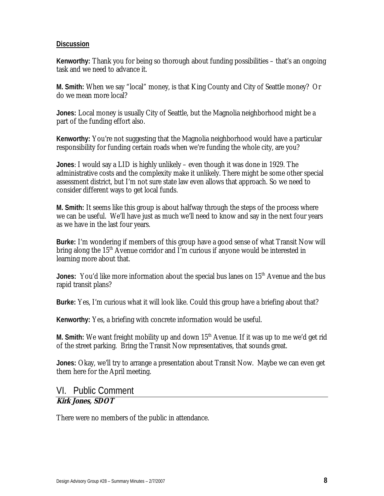#### **Discussion**

**Kenworthy:** Thank you for being so thorough about funding possibilities – that's an ongoing task and we need to advance it.

**M. Smith:** When we say "local" money, is that King County and City of Seattle money? Or do we mean more local?

**Jones:** Local money is usually City of Seattle, but the Magnolia neighborhood might be a part of the funding effort also.

**Kenworthy:** You're not suggesting that the Magnolia neighborhood would have a particular responsibility for funding certain roads when we're funding the whole city, are you?

**Jones**: I would say a LID is highly unlikely – even though it was done in 1929. The administrative costs and the complexity make it unlikely. There might be some other special assessment district, but I'm not sure state law even allows that approach. So we need to consider different ways to get local funds.

**M. Smith:** It seems like this group is about halfway through the steps of the process where we can be useful. We'll have just as much we'll need to know and say in the next four years as we have in the last four years.

**Burke:** I'm wondering if members of this group have a good sense of what Transit Now will bring along the  $15<sup>th</sup>$  Avenue corridor and I'm curious if anyone would be interested in learning more about that.

**Jones:** You'd like more information about the special bus lanes on 15<sup>th</sup> Avenue and the bus rapid transit plans?

**Burke:** Yes, I'm curious what it will look like. Could this group have a briefing about that?

**Kenworthy:** Yes, a briefing with concrete information would be useful.

**M. Smith:** We want freight mobility up and down 15<sup>th</sup> Avenue. If it was up to me we'd get rid of the street parking. Bring the Transit Now representatives, that sounds great.

**Jones:** Okay, we'll try to arrange a presentation about Transit Now. Maybe we can even get them here for the April meeting.

# VI. Public Comment

# **Kirk Jones, SDOT**

There were no members of the public in attendance.